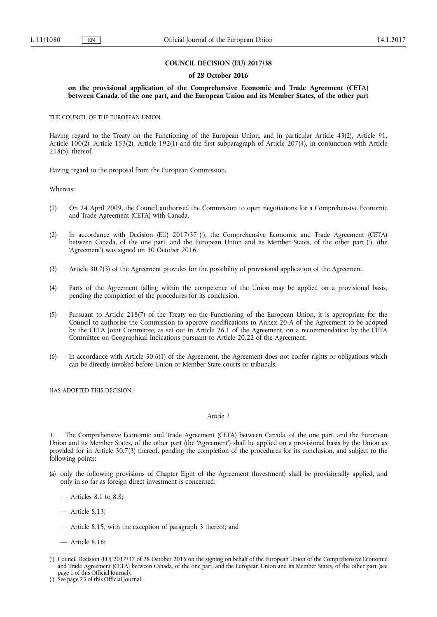#### **COUNCIL DECISION (EU) 2017/38**

#### **of 28 October 2016**

## **on the provisional application of the Comprehensive Economic and Trade Agreement (CETA) between Canada, of the one part, and the European Union and its Member States, of the other part**

THE COUNCIL OF THE EUROPEAN UNION,

Having regard to the Treaty on the Functioning of the European Union, and in particular Article 43(2), Article 91, Article 100(2), Article 153(2), Article 192(1) and the first subparagraph of Article 207(4), in conjunction with Article 218(5), thereof,

Having regard to the proposal from the European Commission,

Whereas:

- (1) On 24 April 2009, the Council authorised the Commission to open negotiations for a Comprehensive Economic and Trade Agreement (CETA) with Canada.
- (2) In accordance with Decision (EU) 2017/37 ( 1 ), the Comprehensive Economic and Trade Agreement (CETA) between Canada, of the one part, and the European Union and its Member States, of the other part (?), (the 'Agreement') was signed on 30 October 2016.
- (3) Article 30.7(3) of the Agreement provides for the possibility of provisional application of the Agreement.
- (4) Parts of the Agreement falling within the competence of the Union may be applied on a provisional basis, pending the completion of the procedures for its conclusion.
- (5) Pursuant to Article 218(7) of the Treaty on the Functioning of the European Union, it is appropriate for the Council to authorise the Commission to approve modifications to Annex 20-A of the Agreement to be adopted by the CETA Joint Committee, as set out in Article 26.1 of the Agreement, on a recommendation by the CETA Committee on Geographical Indications pursuant to Article 20.22 of the Agreement.
- (6) In accordance with Article 30.6(1) of the Agreement, the Agreement does not confer rights or obligations which can be directly invoked before Union or Member State courts or tribunals,

HAS ADOPTED THIS DECISION:

# *Article 1*

1. The Comprehensive Economic and Trade Agreement (CETA) between Canada, of the one part, and the European Union and its Member States, of the other part (the 'Agreement') shall be applied on a provisional basis by the Union as provided for in Article 30.7(3) thereof, pending the completion of the procedures for its conclusion, and subject to the following points:

- (a) only the following provisions of Chapter Eight of the Agreement (Investment) shall be provisionally applied, and only in so far as foreign direct investment is concerned:
	- Articles 8.1 to 8.8;
	- Article 8.13;
	- Article 8.15, with the exception of paragraph 3 thereof; and
	- Article 8.16;

<sup>(</sup> 1 ) Council Decision (EU) 2017/37 of 28 October 2016 on the signing on behalf of the European Union of the Comprehensive Economic and Trade Agreement (CETA) between Canada, of the one part, and the European Union and its Member States, of the other part (see page 1 of this Official Journal).

<sup>(</sup> 2 ) See page 23 of this Official Journal.